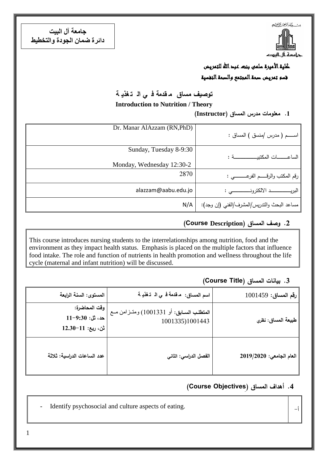**جامعت آل البيت دائرة ضمان الجودة والتخطيط**



## كلية الأميرة سلمى بنت عبد الله للتمريض قسم تمريض صحة المجتمع والصحة النفسية

### **توصيف مساق م قدمة ف ي ال ت غذي ة**

**Introduction to Nutrition / Theory**

**.1 معمومات مدرس المساق )Instructor)**

| Dr. Manar AlAzzam (RN, PhD) |                                             |
|-----------------------------|---------------------------------------------|
|                             |                                             |
|                             | اســـــم ( مدرس /منسق ) المساق :            |
|                             |                                             |
|                             |                                             |
| Sunday, Tuesday 8-9:30      |                                             |
|                             |                                             |
|                             |                                             |
| Monday, Wednesday 12:30-2   |                                             |
|                             |                                             |
| 2870                        |                                             |
|                             | رقم المكتب والرقـــــم الفرعــــــــــى :   |
|                             |                                             |
|                             |                                             |
| alazzam@aabu.edu.jo         |                                             |
|                             |                                             |
|                             |                                             |
| N/A                         | مساعد البحث والتدريس/المشرف/الفني (إن وجد): |
|                             |                                             |

#### **.2 وصف المساق )Description Course(**

This course introduces nursing students to the interrelationships among nutrition, food and the environment as they impact health status. Emphasis is placed on the multiple factors that influence food intake. The role and function of nutrients in health promotion and wellness throughout the life cycle (maternal and infant nutrition) will be discussed.

#### **.3 بيانات المساق )Title Course)**

| رقم المساق: 1001459      | اسم المساق: مقدمة في الـ تغذيـة                             | المستوى: السنة الرابعة                                     |
|--------------------------|-------------------------------------------------------------|------------------------------------------------------------|
| طبيعة المساق: نظري       | المتطلب السابق: أو 1001331) ومتـزامن مـع<br>1001335)1001443 | وفّت المحاضرة:<br>حد، ثل: 9:30–11<br>$12.30-11$ : ثن، ربع: |
| العام الجامعى: 2019/2020 | الفصل الدراسي: الثاني                                       | عدد الساعات الدراسية: ثلاثة                                |

### **.4 أهداف المساق )ِ Objectives Course)**

Identify psychosocial and culture aspects of eating.

1

أ-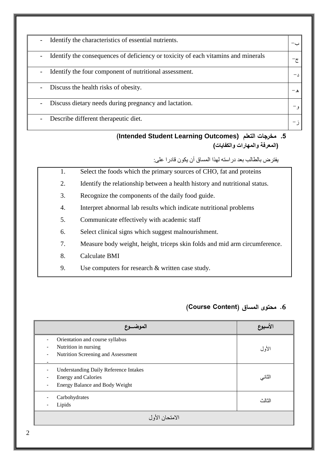| Identify the characteristics of essential nutrients.<br>$\overline{\phantom{a}}$                              |            |
|---------------------------------------------------------------------------------------------------------------|------------|
| Identify the consequences of deficiency or toxicity of each vitamins and minerals<br>$\overline{\phantom{a}}$ | جح         |
| Identify the four component of nutritional assessment.<br>$\overline{\phantom{a}}$                            | $- \wedge$ |
| Discuss the health risks of obesity.<br>$\overline{\phantom{a}}$                                              |            |
| Discuss dietary needs during pregnancy and lactation.<br>$\overline{a}$                                       |            |
| Describe different therapeutic diet.<br>$\overline{a}$                                                        |            |

#### **(Intended Student Learning Outcomes) التعمم مخرجات .5 )المعرفة والمهارات والكفايات(**

يفتزض بالطالب بعذ در سته لهذ لمساق أن يكىن قادر على:

- 1. Select the foods which the primary sources of CHO, fat and proteins
- 2. Identify the relationship between a health history and nutritional status.
- 3. Recognize the components of the daily food guide.
- 4. Interpret abnormal lab results which indicate nutritional problems
- 5. Communicate effectively with academic staff
- 6. Select clinical signs which suggest malnourishment.
- 7. Measure body weight, height, triceps skin folds and mid arm circumference.
- 8. Calculate BMI
- 9. Use computers for research & written case study.

# **.6 محتوى المساق )Content Course)**

| الموضـــوع                                                                                                   | الأسبوع |  |
|--------------------------------------------------------------------------------------------------------------|---------|--|
| Orientation and course syllabus<br>Nutrition in nursing<br>Nutrition Screening and Assessment                | الأول   |  |
| <b>Understanding Daily Reference Intakes</b><br><b>Energy and Calories</b><br>Energy Balance and Body Weight | الثاني  |  |
| Carbohydrates<br>Lipids                                                                                      | الثالث  |  |
| الامتحان الأول                                                                                               |         |  |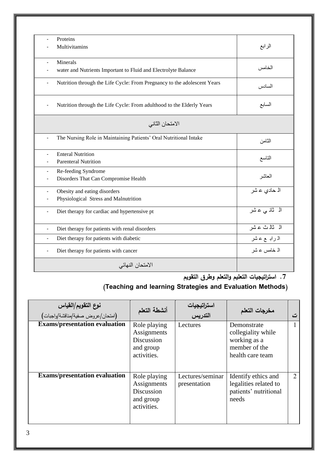| Proteins                                                                 |                 |
|--------------------------------------------------------------------------|-----------------|
| Multivitamins                                                            | الرابع          |
|                                                                          |                 |
| Minerals                                                                 |                 |
| water and Nutrients Important to Fluid and Electrolyte Balance           | الخامس          |
| Nutrition through the Life Cycle: From Pregnancy to the adolescent Years |                 |
|                                                                          | السادس          |
|                                                                          |                 |
| Nutrition through the Life Cycle: From adulthood to the Elderly Years    | السابع          |
|                                                                          |                 |
|                                                                          |                 |
| الامتحان الثاني                                                          |                 |
|                                                                          |                 |
| The Nursing Role in Maintaining Patients' Oral Nutritional Intake        | الثامن          |
|                                                                          |                 |
| <b>Enteral Nutrition</b>                                                 | التاسع          |
| <b>Parenteral Nutrition</b>                                              |                 |
| Re-feeding Syndrome                                                      |                 |
| Disorders That Can Compromise Health                                     | المعاشر         |
|                                                                          |                 |
| Obesity and eating disorders                                             | الہ حادي عشر    |
| Physiological Stress and Malnutrition                                    |                 |
| Diet therapy for cardiac and hypertensive pt<br>÷,                       | الہ ثانہ ی عائس |
|                                                                          |                 |
|                                                                          | الہ ثالث عشر    |
| Diet therapy for patients with renal disorders<br>$\blacksquare$         |                 |
| Diet therapy for patients with diabetic<br>$\blacksquare$                | الدرابہ ع عشر   |
| Diet therapy for patients with cancer                                    | الـ خامس عـ شر  |
|                                                                          |                 |
| الامتحان النهائي                                                         |                 |
|                                                                          |                 |

**.7 استراتيجيات التعميم والتعمم وطرق التقويم**

# **)Teaching and learning Strategies and Evaluation Methods(**

| نوع التقويم/القياس                   | أنشطة التعلم                                                          | استراتيجيات<br>التدريس           | مخرجات التعلم                                                                          |               |
|--------------------------------------|-----------------------------------------------------------------------|----------------------------------|----------------------------------------------------------------------------------------|---------------|
| <b>Exams/presentation evaluation</b> | Role playing<br>Assignments<br>Discussion<br>and group<br>activities. | Lectures                         | Demonstrate<br>collegiality while<br>working as a<br>member of the<br>health care team |               |
| <b>Exams/presentation evaluation</b> | Role playing<br>Assignments<br>Discussion<br>and group<br>activities. | Lectures/seminar<br>presentation | Identify ethics and<br>legalities related to<br>patients' nutritional<br>needs         | $\mathcal{L}$ |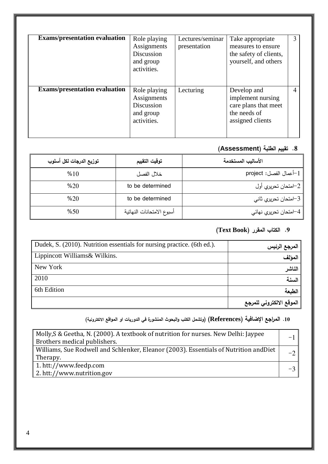| <b>Exams/presentation evaluation</b> | Role playing<br>Assignments<br>Discussion<br>and group<br>activities. | Lectures/seminar<br>presentation | Take appropriate<br>measures to ensure<br>the safety of clients,<br>yourself, and others     | 3 |
|--------------------------------------|-----------------------------------------------------------------------|----------------------------------|----------------------------------------------------------------------------------------------|---|
| <b>Exams/presentation evaluation</b> | Role playing<br>Assignments<br>Discussion<br>and group<br>activities. | Lecturing                        | Develop and<br>implement nursing<br>care plans that meet<br>the needs of<br>assigned clients | 4 |

### **.8 تقييم الطمبة )Assessment)**

| توزيع الدرجات لكل أسلوب | توقيت التقييم             | الأساليب المستخدمة        |
|-------------------------|---------------------------|---------------------------|
| %10                     | خلال الفصل                | project :أعمال الفصل $-1$ |
| %20                     | to be determined          | 2–امتحان تحريري أول       |
| %20                     | to be determined          | 3−امتحان تحريري ثاني      |
| %50                     | أسبوع الامتحانات النهائية | 4–امتحان تحريري نهائي     |

# **.0 الكتال المقرر )Book Text)**

| Dudek, S. (2010). Nutrition essentials for nursing practice. (6th ed.). | المرجع الرئيس            |
|-------------------------------------------------------------------------|--------------------------|
| Lippincott Williams & Wilkins.                                          | المؤلف                   |
| New York                                                                | الناشر                   |
| 2010                                                                    | السنة                    |
| 6th Edition                                                             | الطبعة                   |
|                                                                         | الموقع الالكتروني للمرجع |

# **.19 المراجع اإلضافية )References( )وتشمل الكتل والبحوث المنشورة في الدوريات او المواقع االلكترونية(**

| Molly, S & Geetha, N. (2000). A textbook of nutrition for nurses. New Delhi: Jaypee   |  |
|---------------------------------------------------------------------------------------|--|
| Brothers medical publishers.                                                          |  |
| Williams, Sue Rodwell and Schlenker, Eleanor (2003). Essentials of Nutrition and Diet |  |
| Therapy.                                                                              |  |
| 1. htt://www.feedp.com                                                                |  |
| 2. htt://www.nutrition.gov                                                            |  |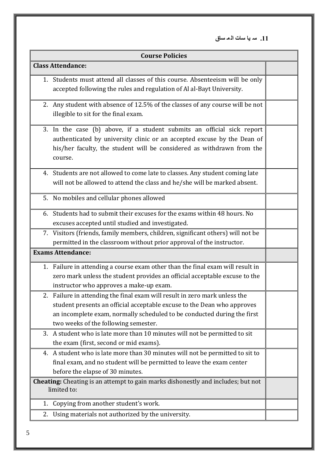**.11 س يا سات ال م ساق**

| <b>Course Policies</b> |                                                                                                                                                                                                                                                                       |  |
|------------------------|-----------------------------------------------------------------------------------------------------------------------------------------------------------------------------------------------------------------------------------------------------------------------|--|
|                        | <b>Class Attendance:</b>                                                                                                                                                                                                                                              |  |
|                        | 1. Students must attend all classes of this course. Absenteeism will be only<br>accepted following the rules and regulation of Al al-Bayt University.                                                                                                                 |  |
|                        | 2. Any student with absence of 12.5% of the classes of any course will be not<br>illegible to sit for the final exam.                                                                                                                                                 |  |
|                        | 3. In the case (b) above, if a student submits an official sick report<br>authenticated by university clinic or an accepted excuse by the Dean of<br>his/her faculty, the student will be considered as withdrawn from the<br>course.                                 |  |
|                        | 4. Students are not allowed to come late to classes. Any student coming late<br>will not be allowed to attend the class and he/she will be marked absent.                                                                                                             |  |
|                        | 5. No mobiles and cellular phones allowed                                                                                                                                                                                                                             |  |
|                        | 6. Students had to submit their excuses for the exams within 48 hours. No<br>excuses accepted until studied and investigated.                                                                                                                                         |  |
|                        | 7. Visitors (friends, family members, children, significant others) will not be<br>permitted in the classroom without prior approval of the instructor.                                                                                                               |  |
|                        | <b>Exams Attendance:</b>                                                                                                                                                                                                                                              |  |
|                        | 1. Failure in attending a course exam other than the final exam will result in<br>zero mark unless the student provides an official acceptable excuse to the<br>instructor who approves a make-up exam.                                                               |  |
| 2.                     | Failure in attending the final exam will result in zero mark unless the<br>student presents an official acceptable excuse to the Dean who approves<br>an incomplete exam, normally scheduled to be conducted during the first<br>two weeks of the following semester. |  |
| 3.                     | A student who is late more than 10 minutes will not be permitted to sit<br>the exam (first, second or mid exams).                                                                                                                                                     |  |
|                        | 4. A student who is late more than 30 minutes will not be permitted to sit to<br>final exam, and no student will be permitted to leave the exam center<br>before the elapse of 30 minutes.                                                                            |  |
|                        | <b>Cheating:</b> Cheating is an attempt to gain marks dishonestly and includes; but not<br>limited to:                                                                                                                                                                |  |
| 1.                     | Copying from another student's work.                                                                                                                                                                                                                                  |  |
| 2.                     | Using materials not authorized by the university.                                                                                                                                                                                                                     |  |